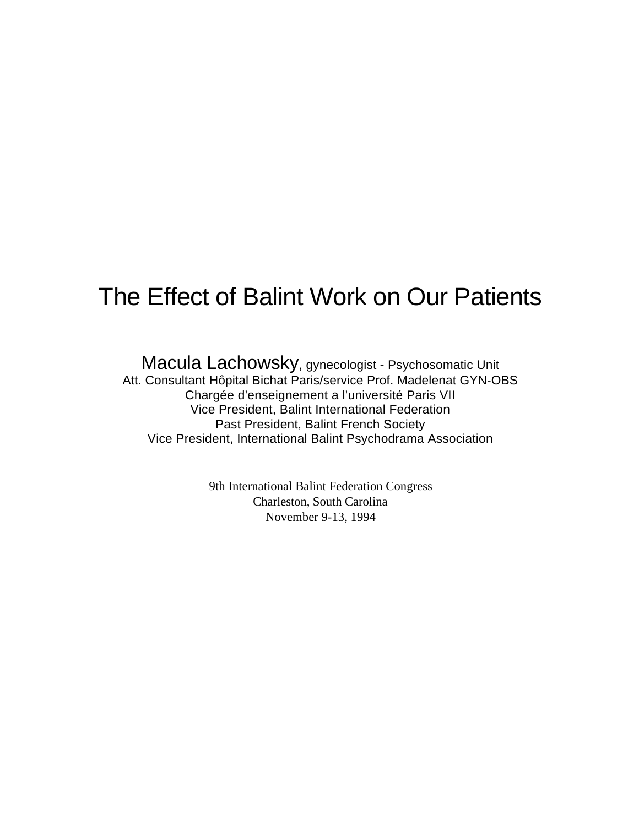## The Effect of Balint Work on Our Patients

Macula Lachowsky, gynecologist - Psychosomatic Unit Att. Consultant Hôpital Bichat Paris/service Prof. Madelenat GYN-OBS Chargée d'enseignement a l'université Paris VII Vice President, Balint International Federation Past President, Balint French Society Vice President, International Balint Psychodrama Association

> 9th International Balint Federation Congress Charleston, South Carolina November 9-13, 1994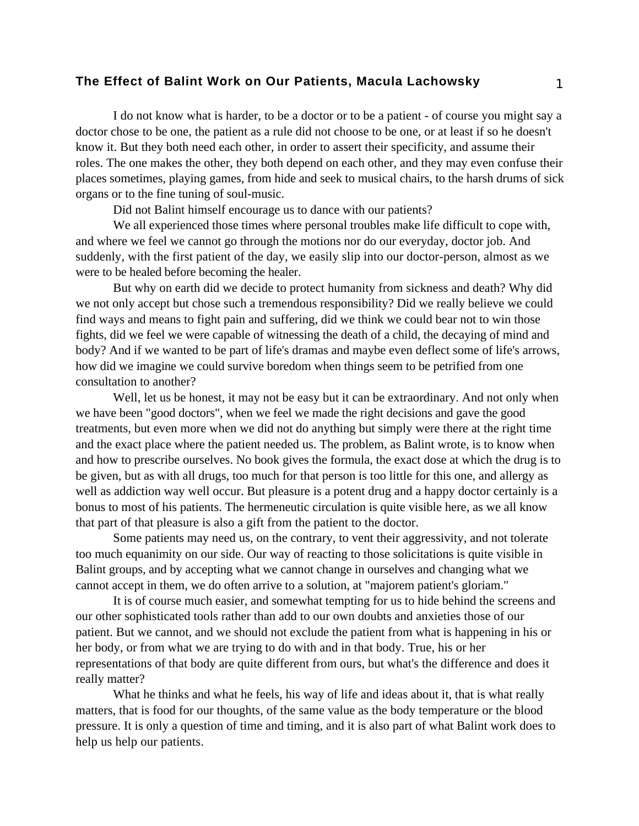## **The Effect of Balint Work on Our Patients, Macula Lachowsky** 1

I do not know what is harder, to be a doctor or to be a patient - of course you might say a doctor chose to be one, the patient as a rule did not choose to be one, or at least if so he doesn't know it. But they both need each other, in order to assert their specificity, and assume their roles. The one makes the other, they both depend on each other, and they may even confuse their places sometimes, playing games, from hide and seek to musical chairs, to the harsh drums of sick organs or to the fine tuning of soul-music.

Did not Balint himself encourage us to dance with our patients?

We all experienced those times where personal troubles make life difficult to cope with, and where we feel we cannot go through the motions nor do our everyday, doctor job. And suddenly, with the first patient of the day, we easily slip into our doctor-person, almost as we were to be healed before becoming the healer.

But why on earth did we decide to protect humanity from sickness and death? Why did we not only accept but chose such a tremendous responsibility? Did we really believe we could find ways and means to fight pain and suffering, did we think we could bear not to win those fights, did we feel we were capable of witnessing the death of a child, the decaying of mind and body? And if we wanted to be part of life's dramas and maybe even deflect some of life's arrows, how did we imagine we could survive boredom when things seem to be petrified from one consultation to another?

Well, let us be honest, it may not be easy but it can be extraordinary. And not only when we have been "good doctors", when we feel we made the right decisions and gave the good treatments, but even more when we did not do anything but simply were there at the right time and the exact place where the patient needed us. The problem, as Balint wrote, is to know when and how to prescribe ourselves. No book gives the formula, the exact dose at which the drug is to be given, but as with all drugs, too much for that person is too little for this one, and allergy as well as addiction way well occur. But pleasure is a potent drug and a happy doctor certainly is a bonus to most of his patients. The hermeneutic circulation is quite visible here, as we all know that part of that pleasure is also a gift from the patient to the doctor.

Some patients may need us, on the contrary, to vent their aggressivity, and not tolerate too much equanimity on our side. Our way of reacting to those solicitations is quite visible in Balint groups, and by accepting what we cannot change in ourselves and changing what we cannot accept in them, we do often arrive to a solution, at "majorem patient's gloriam."

It is of course much easier, and somewhat tempting for us to hide behind the screens and our other sophisticated tools rather than add to our own doubts and anxieties those of our patient. But we cannot, and we should not exclude the patient from what is happening in his or her body, or from what we are trying to do with and in that body. True, his or her representations of that body are quite different from ours, but what's the difference and does it really matter?

What he thinks and what he feels, his way of life and ideas about it, that is what really matters, that is food for our thoughts, of the same value as the body temperature or the blood pressure. It is only a question of time and timing, and it is also part of what Balint work does to help us help our patients.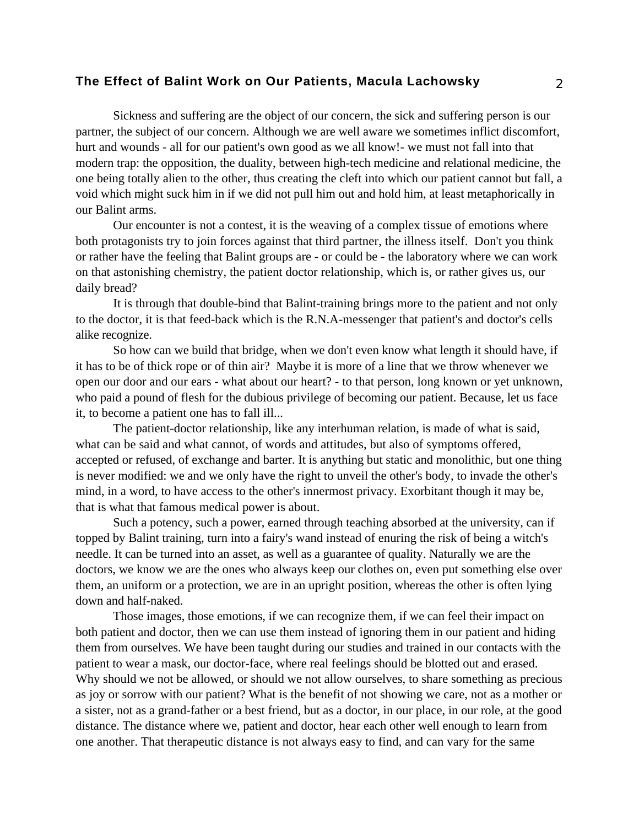## **The Effect of Balint Work on Our Patients, Macula Lachowsky** 2

Sickness and suffering are the object of our concern, the sick and suffering person is our partner, the subject of our concern. Although we are well aware we sometimes inflict discomfort, hurt and wounds - all for our patient's own good as we all know!- we must not fall into that modern trap: the opposition, the duality, between high-tech medicine and relational medicine, the one being totally alien to the other, thus creating the cleft into which our patient cannot but fall, a void which might suck him in if we did not pull him out and hold him, at least metaphorically in our Balint arms.

Our encounter is not a contest, it is the weaving of a complex tissue of emotions where both protagonists try to join forces against that third partner, the illness itself. Don't you think or rather have the feeling that Balint groups are - or could be - the laboratory where we can work on that astonishing chemistry, the patient doctor relationship, which is, or rather gives us, our daily bread?

It is through that double-bind that Balint-training brings more to the patient and not only to the doctor, it is that feed-back which is the R.N.A-messenger that patient's and doctor's cells alike recognize.

So how can we build that bridge, when we don't even know what length it should have, if it has to be of thick rope or of thin air? Maybe it is more of a line that we throw whenever we open our door and our ears - what about our heart? - to that person, long known or yet unknown, who paid a pound of flesh for the dubious privilege of becoming our patient. Because, let us face it, to become a patient one has to fall ill...

The patient-doctor relationship, like any interhuman relation, is made of what is said, what can be said and what cannot, of words and attitudes, but also of symptoms offered, accepted or refused, of exchange and barter. It is anything but static and monolithic, but one thing is never modified: we and we only have the right to unveil the other's body, to invade the other's mind, in a word, to have access to the other's innermost privacy. Exorbitant though it may be, that is what that famous medical power is about.

Such a potency, such a power, earned through teaching absorbed at the university, can if topped by Balint training, turn into a fairy's wand instead of enuring the risk of being a witch's needle. It can be turned into an asset, as well as a guarantee of quality. Naturally we are the doctors, we know we are the ones who always keep our clothes on, even put something else over them, an uniform or a protection, we are in an upright position, whereas the other is often lying down and half-naked.

Those images, those emotions, if we can recognize them, if we can feel their impact on both patient and doctor, then we can use them instead of ignoring them in our patient and hiding them from ourselves. We have been taught during our studies and trained in our contacts with the patient to wear a mask, our doctor-face, where real feelings should be blotted out and erased. Why should we not be allowed, or should we not allow ourselves, to share something as precious as joy or sorrow with our patient? What is the benefit of not showing we care, not as a mother or a sister, not as a grand-father or a best friend, but as a doctor, in our place, in our role, at the good distance. The distance where we, patient and doctor, hear each other well enough to learn from one another. That therapeutic distance is not always easy to find, and can vary for the same